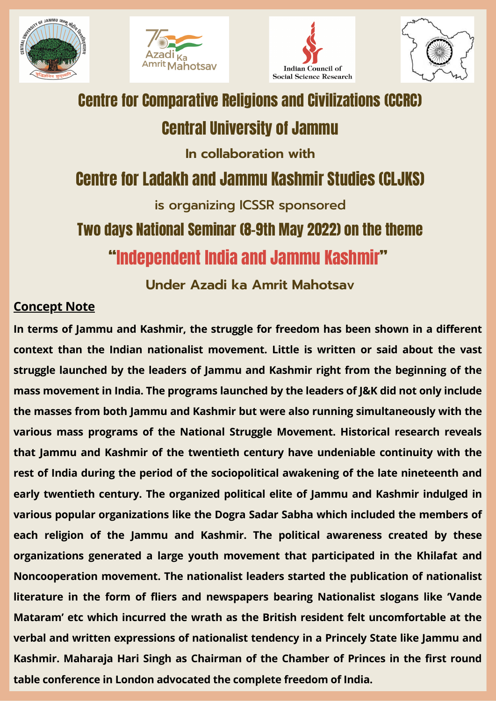







# Centre for Comparative Religions and Civilizations (CCRC)

## Central University of Jammu

### **In collaboration with**

### Centre for Ladakh and Jammu Kashmir Studies (CLJKS)

is organizing ICSSR sponsored

Two days National Seminar (8-9th May 2022) on the theme

"Independent India and Jammu Kashmir"

**Under Azadi ka Amrit Mahotsav**

#### **Concept Note**

**In terms of Jammu and Kashmir, the struggle for freedom has been shown in a different context than the Indian nationalist movement. Little is written or said about the vast struggle launched by the leaders of Jammu and Kashmir right from the beginning of the mass movement in India. The programs launched by the leaders of J&K did not only include the masses from both Jammu and Kashmir but were also running simultaneously with the various mass programs of the National Struggle Movement. Historical research reveals that Jammu and Kashmir of the twentieth century have undeniable continuity with the rest of India during the period of the sociopolitical awakening of the late nineteenth and early twentieth century. The organized political elite of Jammu and Kashmir indulged in various popular organizations like the Dogra Sadar Sabha which included the members of each religion of the Jammu and Kashmir. The political awareness created by these organizations generated a large youth movement that participated in the Khilafat and Noncooperation movement. The nationalist leaders started the publication of nationalist literature in the form of fliers and newspapers bearing Nationalist slogans like 'Vande Mataram' etc which incurred the wrath as the British resident felt uncomfortable at the verbal and written expressions of nationalist tendency in a Princely State like Jammu and Kashmir. Maharaja Hari Singh as Chairman of the Chamber of Princes in the first round table conference in London advocated the complete freedom of India.**